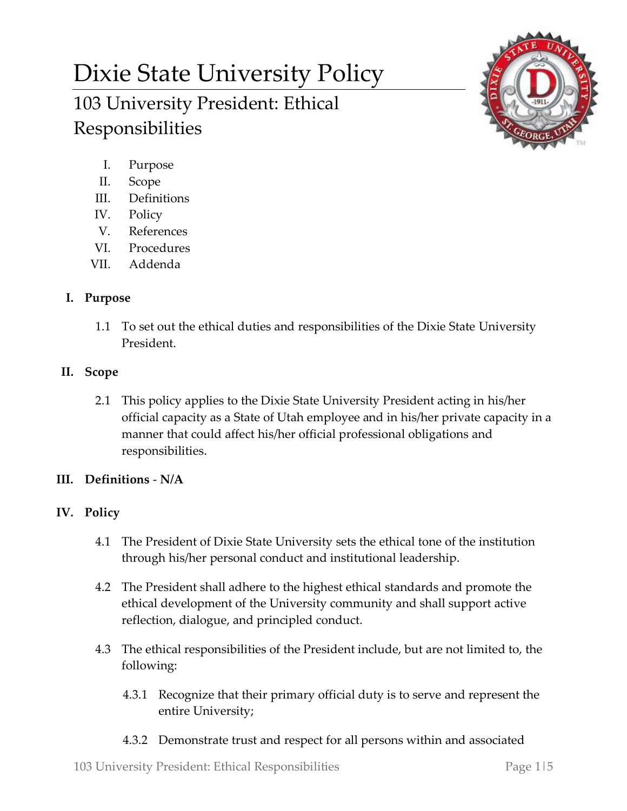# Dixie State University Policy 103 University President: Ethical Responsibilities



- I. Purpose
- II. Scope
- III. Definitions
- IV. Policy
- V. References
- VI. Procedures
- VII. Addenda

## **I. Purpose**

1.1 To set out the ethical duties and responsibilities of the Dixie State University President.

### **II. Scope**

2.1 This policy applies to the Dixie State University President acting in his/her official capacity as a State of Utah employee and in his/her private capacity in a manner that could affect his/her official professional obligations and responsibilities.

## **III. Definitions** - **N/A**

## **IV. Policy**

- 4.1 The President of Dixie State University sets the ethical tone of the institution through his/her personal conduct and institutional leadership.
- 4.2 The President shall adhere to the highest ethical standards and promote the ethical development of the University community and shall support active reflection, dialogue, and principled conduct.
- 4.3 The ethical responsibilities of the President include, but are not limited to, the following:
	- 4.3.1 Recognize that their primary official duty is to serve and represent the entire University;
	- 4.3.2 Demonstrate trust and respect for all persons within and associated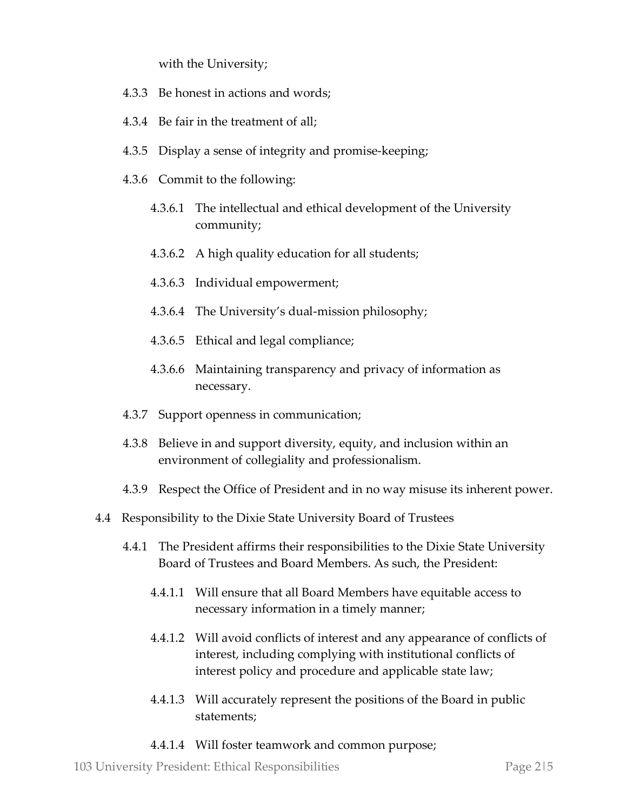with the University;

- 4.3.3 Be honest in actions and words;
- 4.3.4 Be fair in the treatment of all;
- 4.3.5 Display a sense of integrity and promise-keeping;
- 4.3.6 Commit to the following:
	- 4.3.6.1 The intellectual and ethical development of the University community;
	- 4.3.6.2 A high quality education for all students;
	- 4.3.6.3 Individual empowerment;
	- 4.3.6.4 The University's dual-mission philosophy;
	- 4.3.6.5 Ethical and legal compliance;
	- 4.3.6.6 Maintaining transparency and privacy of information as necessary.
- 4.3.7 Support openness in communication;
- 4.3.8 Believe in and support diversity, equity, and inclusion within an environment of collegiality and professionalism.
- 4.3.9 Respect the Office of President and in no way misuse its inherent power.
- 4.4 Responsibility to the Dixie State University Board of Trustees
	- 4.4.1 The President affirms their responsibilities to the Dixie State University Board of Trustees and Board Members. As such, the President:
		- 4.4.1.1 Will ensure that all Board Members have equitable access to necessary information in a timely manner;
		- 4.4.1.2 Will avoid conflicts of interest and any appearance of conflicts of interest, including complying with institutional conflicts of interest policy and procedure and applicable state law;
		- 4.4.1.3 Will accurately represent the positions of the Board in public statements;
		- 4.4.1.4 Will foster teamwork and common purpose;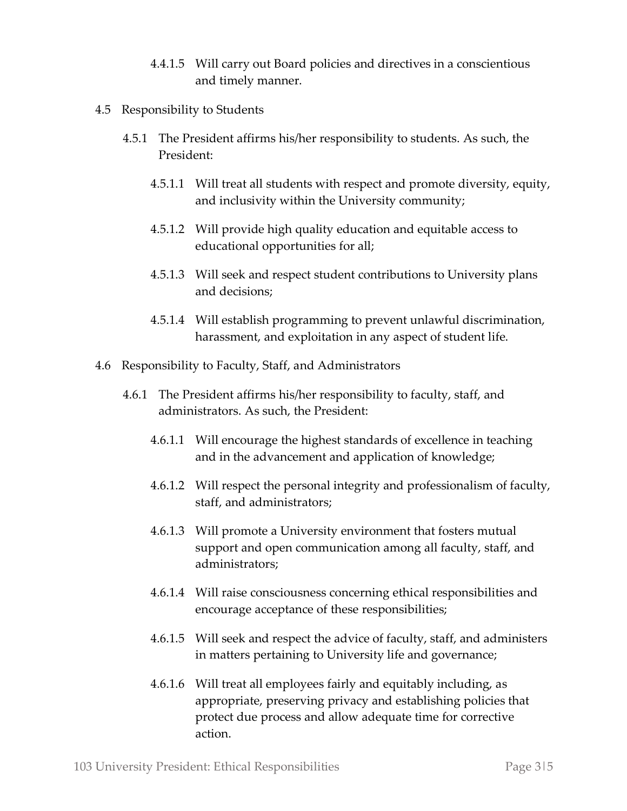- 4.4.1.5 Will carry out Board policies and directives in a conscientious and timely manner.
- 4.5 Responsibility to Students
	- 4.5.1 The President affirms his/her responsibility to students. As such, the President:
		- 4.5.1.1 Will treat all students with respect and promote diversity, equity, and inclusivity within the University community;
		- 4.5.1.2 Will provide high quality education and equitable access to educational opportunities for all;
		- 4.5.1.3 Will seek and respect student contributions to University plans and decisions;
		- 4.5.1.4 Will establish programming to prevent unlawful discrimination, harassment, and exploitation in any aspect of student life.
- 4.6 Responsibility to Faculty, Staff, and Administrators
	- 4.6.1 The President affirms his/her responsibility to faculty, staff, and administrators. As such, the President:
		- 4.6.1.1 Will encourage the highest standards of excellence in teaching and in the advancement and application of knowledge;
		- 4.6.1.2 Will respect the personal integrity and professionalism of faculty, staff, and administrators;
		- 4.6.1.3 Will promote a University environment that fosters mutual support and open communication among all faculty, staff, and administrators;
		- 4.6.1.4 Will raise consciousness concerning ethical responsibilities and encourage acceptance of these responsibilities;
		- 4.6.1.5 Will seek and respect the advice of faculty, staff, and administers in matters pertaining to University life and governance;
		- 4.6.1.6 Will treat all employees fairly and equitably including, as appropriate, preserving privacy and establishing policies that protect due process and allow adequate time for corrective action.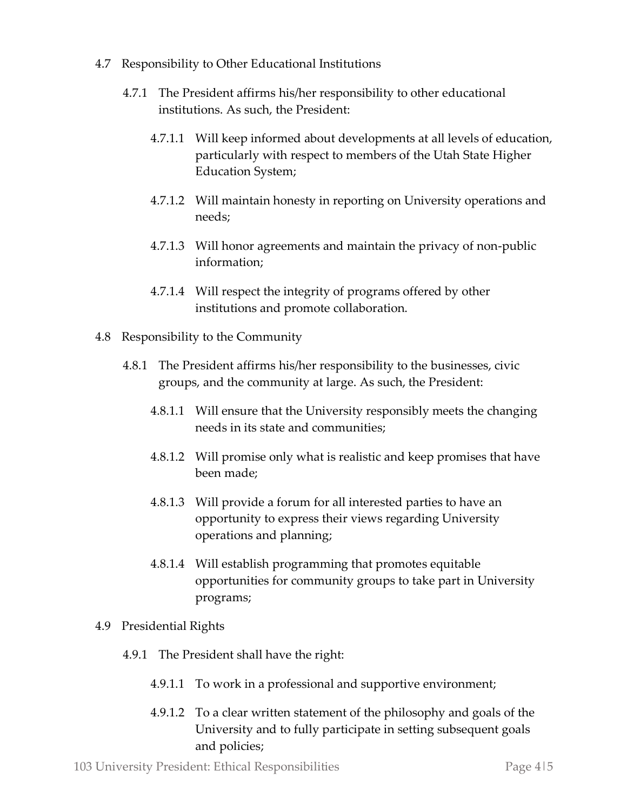- 4.7 Responsibility to Other Educational Institutions
	- 4.7.1 The President affirms his/her responsibility to other educational institutions. As such, the President:
		- 4.7.1.1 Will keep informed about developments at all levels of education, particularly with respect to members of the Utah State Higher Education System;
		- 4.7.1.2 Will maintain honesty in reporting on University operations and needs;
		- 4.7.1.3 Will honor agreements and maintain the privacy of non-public information;
		- 4.7.1.4 Will respect the integrity of programs offered by other institutions and promote collaboration.
- 4.8 Responsibility to the Community
	- 4.8.1 The President affirms his/her responsibility to the businesses, civic groups, and the community at large. As such, the President:
		- 4.8.1.1 Will ensure that the University responsibly meets the changing needs in its state and communities;
		- 4.8.1.2 Will promise only what is realistic and keep promises that have been made;
		- 4.8.1.3 Will provide a forum for all interested parties to have an opportunity to express their views regarding University operations and planning;
		- 4.8.1.4 Will establish programming that promotes equitable opportunities for community groups to take part in University programs;
- 4.9 Presidential Rights
	- 4.9.1 The President shall have the right:
		- 4.9.1.1 To work in a professional and supportive environment;
		- 4.9.1.2 To a clear written statement of the philosophy and goals of the University and to fully participate in setting subsequent goals and policies;

103 University President: Ethical Responsibilities Page 4|5